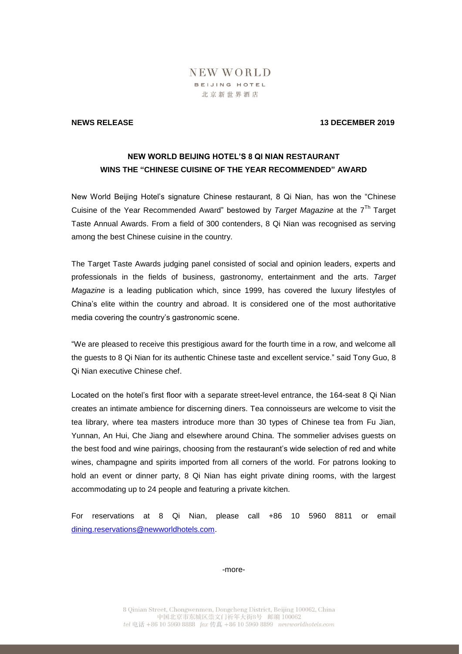## NEW WORLD BEIJING HOTEL 北京新世界酒店

### **NEWS RELEASE 13 DECEMBER 2019**

## **NEW WORLD BEIJING HOTEL'S 8 QI NIAN RESTAURANT WINS THE "CHINESE CUISINE OF THE YEAR RECOMMENDED" AWARD**

New World Beijing Hotel's signature Chinese restaurant, 8 Qi Nian, has won the "Chinese Cuisine of the Year Recommended Award" bestowed by *Target Magazine* at the 7 Th Target Taste Annual Awards. From a field of 300 contenders, 8 Qi Nian was recognised as serving among the best Chinese cuisine in the country.

The Target Taste Awards judging panel consisted of social and opinion leaders, experts and professionals in the fields of business, gastronomy, entertainment and the arts. *Target Magazine* is a leading publication which, since 1999, has covered the luxury lifestyles of China's elite within the country and abroad. It is considered one of the most authoritative media covering the country's gastronomic scene.

"We are pleased to receive this prestigious award for the fourth time in a row, and welcome all the guests to 8 Qi Nian for its authentic Chinese taste and excellent service." said Tony Guo, 8 Qi Nian executive Chinese chef.

Located on the hotel's first floor with a separate street-level entrance, the 164-seat 8 Qi Nian creates an intimate ambience for discerning diners. Tea connoisseurs are welcome to visit the tea library, where tea masters introduce more than 30 types of Chinese tea from Fu Jian, Yunnan, An Hui, Che Jiang and elsewhere around China. The sommelier advises guests on the best food and wine pairings, choosing from the restaurant's wide selection of red and white wines, champagne and spirits imported from all corners of the world. For patrons looking to hold an event or dinner party, 8 Qi Nian has eight private dining rooms, with the largest accommodating up to 24 people and featuring a private kitchen.

For reservations at 8 Qi Nian, please call +86 10 5960 8811 or email [dining.reservations@newworldhotels.com.](../AppData/Local/Microsoft/Windows/INetCache/Content.Outlook/AppData/Local/Microsoft/Windows/INetCache/Content.Outlook/AppData/Local/Microsoft/Windows/Temporary%20Internet%20Files/Content.Outlook/AppData/Local/Microsoft/Windows/INetCache/Content.Outlook/AppData/Local/Microsoft/Windows/INetCache/Steven.wang/AppData/Local/Microsoft/Windows/Temporary%20Internet%20Files/Content.Outlook/QYTI0DC2/dining.reservations@newworldhotels.com)

-more-